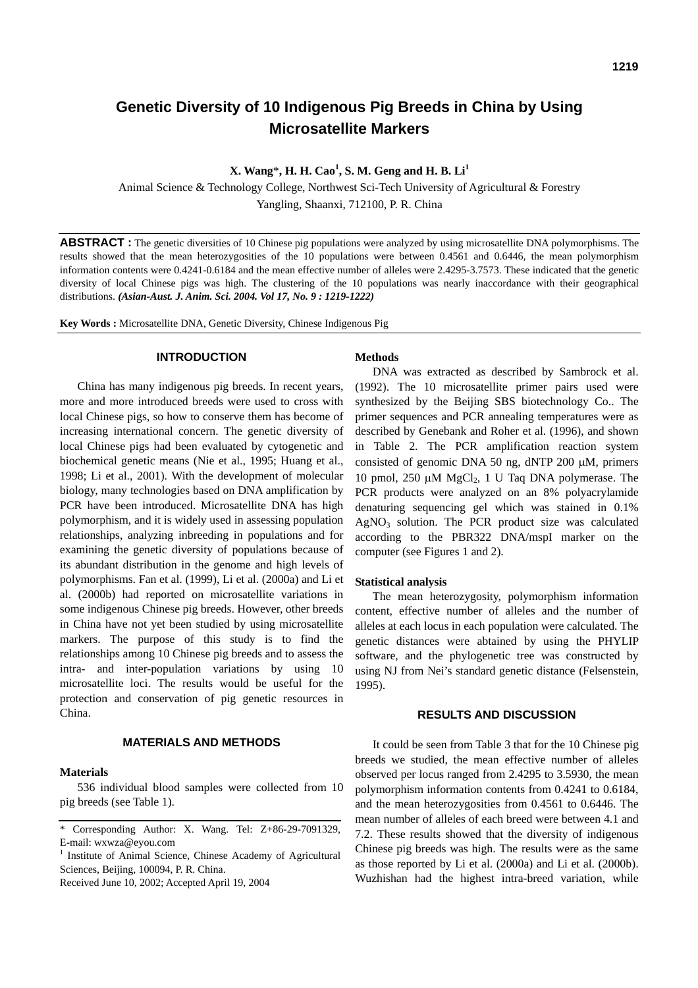# **Genetic Diversity of 10 Indigenous Pig Breeds in China by Using Microsatellite Markers**

**X. Wang**\***, H. H. Cao<sup>1</sup> , S. M. Geng and H. B. Li1**

Animal Science & Technology College, Northwest Sci-Tech University of Agricultural & Forestry Yangling, Shaanxi, 712100, P. R. China

**ABSTRACT :** The genetic diversities of 10 Chinese pig populations were analyzed by using microsatellite DNA polymorphisms. The results showed that the mean heterozygosities of the 10 populations were between 0.4561 and 0.6446, the mean polymorphism information contents were 0.4241-0.6184 and the mean effective number of alleles were 2.4295-3.7573. These indicated that the genetic diversity of local Chinese pigs was high. The clustering of the 10 populations was nearly inaccordance with their geographical distributions. *(Asian-Aust. J. Anim. Sci. 2004. Vol 17, No. 9 : 1219-1222)*

**Key Words :** Microsatellite DNA, Genetic Diversity, Chinese Indigenous Pig

## **INTRODUCTION**

China has many indigenous pig breeds. In recent years, more and more introduced breeds were used to cross with local Chinese pigs, so how to conserve them has become of increasing international concern. The genetic diversity of local Chinese pigs had been evaluated by cytogenetic and biochemical genetic means (Nie et al., 1995; Huang et al., 1998; Li et al., 2001). With the development of molecular biology, many technologies based on DNA amplification by PCR have been introduced. Microsatellite DNA has high polymorphism, and it is widely used in assessing population relationships, analyzing inbreeding in populations and for examining the genetic diversity of populations because of its abundant distribution in the genome and high levels of polymorphisms. Fan et al. (1999), Li et al. (2000a) and Li et al. (2000b) had reported on microsatellite variations in some indigenous Chinese pig breeds. However, other breeds in China have not yet been studied by using microsatellite markers. The purpose of this study is to find the relationships among 10 Chinese pig breeds and to assess the intra- and inter-population variations by using 10 microsatellite loci. The results would be useful for the protection and conservation of pig genetic resources in China.

## **MATERIALS AND METHODS**

#### **Materials**

536 individual blood samples were collected from 10 pig breeds (see Table 1).

Received June 10, 2002; Accepted April 19, 2004

## **Methods**

DNA was extracted as described by Sambrock et al. (1992). The 10 microsatellite primer pairs used were synthesized by the Beijing SBS biotechnology Co.. The primer sequences and PCR annealing temperatures were as described by Genebank and Roher et al. (1996), and shown in Table 2. The PCR amplification reaction system consisted of genomic DNA 50 ng, dNTP 200 µM, primers 10 pmol, 250 uM MgCl<sub>2</sub>, 1 U Taq DNA polymerase. The PCR products were analyzed on an 8% polyacrylamide denaturing sequencing gel which was stained in 0.1%  $AgNO<sub>3</sub>$  solution. The PCR product size was calculated according to the PBR322 DNA/mspI marker on the computer (see Figures 1 and 2).

#### **Statistical analysis**

The mean heterozygosity, polymorphism information content, effective number of alleles and the number of alleles at each locus in each population were calculated. The genetic distances were abtained by using the PHYLIP software, and the phylogenetic tree was constructed by using NJ from Nei's standard genetic distance (Felsenstein, 1995).

#### **RESULTS AND DISCUSSION**

It could be seen from Table 3 that for the 10 Chinese pig breeds we studied, the mean effective number of alleles observed per locus ranged from 2.4295 to 3.5930, the mean polymorphism information contents from 0.4241 to 0.6184, and the mean heterozygosities from 0.4561 to 0.6446. The mean number of alleles of each breed were between 4.1 and 7.2. These results showed that the diversity of indigenous Chinese pig breeds was high. The results were as the same as those reported by Li et al. (2000a) and Li et al. (2000b). Wuzhishan had the highest intra-breed variation, while

<sup>\*</sup> Corresponding Author: X. Wang. Tel: Z+86-29-7091329, E-mail: wxwza@eyou.com

<sup>&</sup>lt;sup>1</sup> Institute of Animal Science, Chinese Academy of Agricultural Sciences, Beijing, 100094, P. R. China.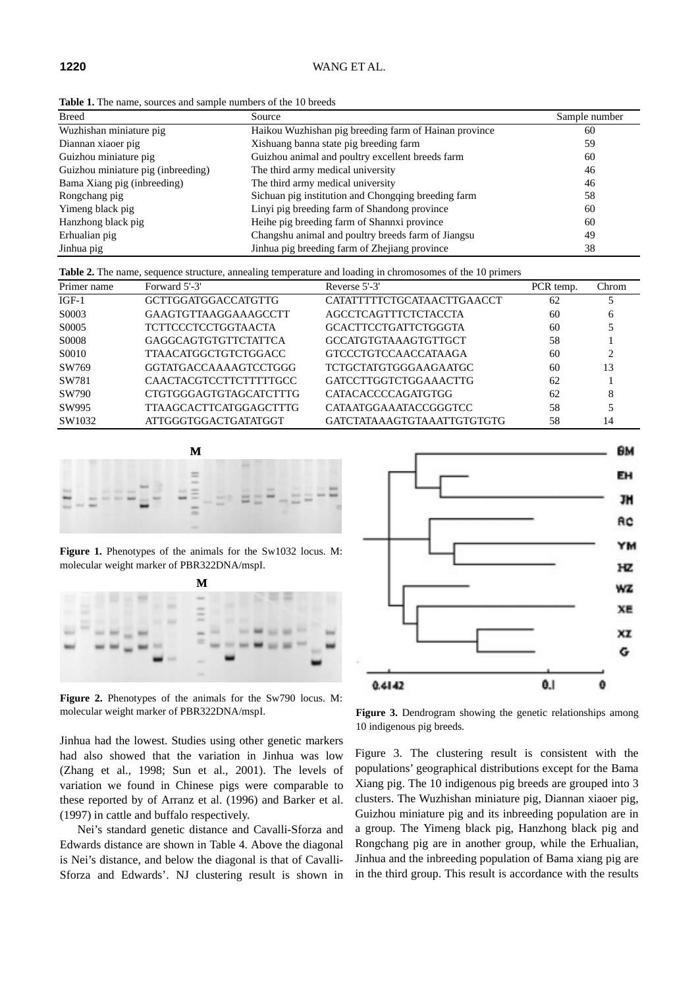**Table 1.** The name, sources and sample numbers of the 10 breeds

| <b>Breed</b>                       | Source                                                | Sample number |
|------------------------------------|-------------------------------------------------------|---------------|
| Wuzhishan miniature pig            | Haikou Wuzhishan pig breeding farm of Hainan province | 60            |
| Diannan xiaoer pig                 | Xishuang banna state pig breeding farm                | 59            |
| Guizhou miniature pig              | Guizhou animal and poultry excellent breeds farm      | 60            |
| Guizhou miniature pig (inbreeding) | The third army medical university                     | 46            |
| Bama Xiang pig (inbreeding)        | The third army medical university                     | 46            |
| Rongchang pig                      | Sichuan pig institution and Chongqing breeding farm   | 58            |
| Yimeng black pig                   | Linyi pig breeding farm of Shandong province          | 60            |
| Hanzhong black pig                 | Heihe pig breeding farm of Shannxi province           | 60            |
| Erhualian pig                      | Changshu animal and poultry breeds farm of Jiangsu    | 49            |
| Jinhua pig                         | Jinhua pig breeding farm of Zhejiang province         | 38            |

**Table 2.** The name, sequence structure, annealing temperature and loading in chromosomes of the 10 primers

| Primer name  | Forward 5'-3'                 | Reverse 5'-3'                | PCR temp. | Chrom |
|--------------|-------------------------------|------------------------------|-----------|-------|
| $IGF-1$      | <b>GCTTGGATGGACCATGTTG</b>    | CATATTTTTCTGCATAACTTGAACCT   | 62        |       |
| S0003        | <b>GAAGTGTTAAGGAAAGCCTT</b>   | <b>AGCCTCAGTTTCTCTACCTA</b>  | 60        | 6     |
| S0005        | <b>TCTTCCCTCCTGGTAACTA</b>    | <b>GCACTTCCTGATTCTGGGTA</b>  | 60        |       |
| <b>S0008</b> | <b>GAGGCAGTGTGTTCTATTCA</b>   | <b>GCCATGTGTAAAGTGTTGCT</b>  | 58        |       |
| S0010        | <b>TTAACATGGCTGTCTGGACC</b>   | <b>GTCCCTGTCCAACCATAAGA</b>  | 60        | ◠     |
| SW769        | GGTATGACCAAAAGTCCTGGG         | TCTGCTATGTGGGAAGAATGC        | 60        | 13    |
| SW781        | <b>CAACTACGTCCTTCTTTTTGCC</b> | <b>GATCCTTGGTCTGGAAACTTG</b> | 62        |       |
| SW790        | <b>CTGTGGGAGTGTAGCATCTTTG</b> | <b>CATACACCCCAGATGTGG</b>    | 62        | 8     |
| SW995        | <b>TTAAGCACTTCATGGAGCTTTG</b> | CATAATGGAAATACCGGGTCC        | 58        |       |
| SW1032       | ATTGGGTGGACTGATATGGT          | GATCTATAAAGTGTAAATTGTGTGTG   | 58        | 14    |



Figure 1. Phenotypes of the animals for the Sw1032 locus. M: molecular weight marker of PBR322DNA/mspI.



**Figure 2.** Phenotypes of the animals for the Sw790 locus. M: molecular weight marker of PBR322DNA/mspI. **Figure 3.** Dendrogram showing the genetic relationships among

Jinhua had the lowest. Studies using other genetic markers had also showed that the variation in Jinhua was low (Zhang et al., 1998; Sun et al., 2001). The levels of variation we found in Chinese pigs were comparable to these reported by of Arranz et al. (1996) and Barker et al. (1997) in cattle and buffalo respectively.

Nei's standard genetic distance and Cavalli-Sforza and Edwards distance are shown in Table 4. Above the diagonal is Nei's distance, and below the diagonal is that of Cavalli-Sforza and Edwards'. NJ clustering result is shown in



10 indigenous pig breeds.

Figure 3. The clustering result is consistent with the populations' geographical distributions except for the Bama Xiang pig. The 10 indigenous pig breeds are grouped into 3 clusters. The Wuzhishan miniature pig, Diannan xiaoer pig, Guizhou miniature pig and its inbreeding population are in a group. The Yimeng black pig, Hanzhong black pig and Rongchang pig are in another group, while the Erhualian, Jinhua and the inbreeding population of Bama xiang pig are in the third group. This result is accordance with the results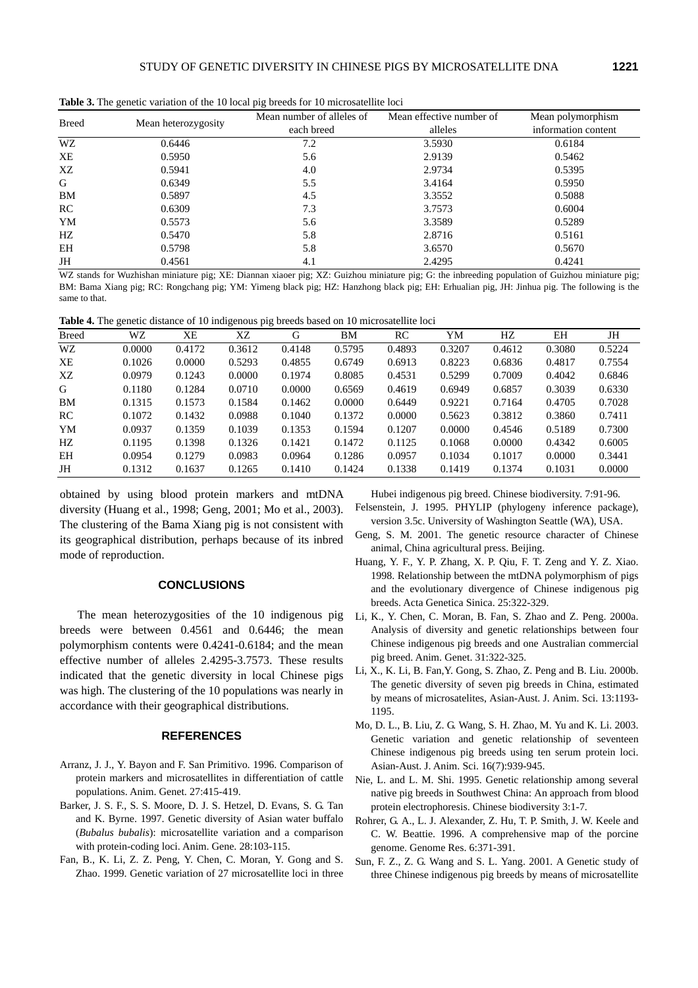| <b>Breed</b> | Mean heterozygosity | Mean number of alleles of | Mean effective number of | Mean polymorphism   |  |
|--------------|---------------------|---------------------------|--------------------------|---------------------|--|
|              |                     | each breed                | alleles                  | information content |  |
| WZ           | 0.6446              | 7.2                       | 3.5930                   | 0.6184              |  |
| XE           | 0.5950              | 5.6                       | 2.9139                   | 0.5462              |  |
| XZ           | 0.5941              | 4.0                       | 2.9734                   | 0.5395              |  |
| G            | 0.6349              | 5.5                       | 3.4164                   | 0.5950              |  |
| BM           | 0.5897              | 4.5                       | 3.3552                   | 0.5088              |  |
| RC           | 0.6309              | 7.3                       | 3.7573                   | 0.6004              |  |
| YM           | 0.5573              | 5.6                       | 3.3589                   | 0.5289              |  |
| HZ.          | 0.5470              | 5.8                       | 2.8716                   | 0.5161              |  |
| EH           | 0.5798              | 5.8                       | 3.6570                   | 0.5670              |  |
| JH           | 0.4561              | 4.1                       | 2.4295                   | 0.4241              |  |

**Table 3.** The genetic variation of the 10 local pig breeds for 10 microsatellite loci

WZ stands for Wuzhishan miniature pig; XE: Diannan xiaoer pig; XZ: Guizhou miniature pig; G: the inbreeding population of Guizhou miniature pig; BM: Bama Xiang pig; RC: Rongchang pig; YM: Yimeng black pig; HZ: Hanzhong black pig; EH: Erhualian pig, JH: Jinhua pig. The following is the same to that.

|  | Table 4. The genetic distance of 10 indigenous pig breeds based on 10 microsatellite loci |  |  |  |
|--|-------------------------------------------------------------------------------------------|--|--|--|
|  |                                                                                           |  |  |  |

| <b>Breed</b> | WZ     | XЕ     | XZ     | G      | BМ     | RC     | YM     | НZ     | EH     | JH     |
|--------------|--------|--------|--------|--------|--------|--------|--------|--------|--------|--------|
| WZ           | 0.0000 | 0.4172 | 0.3612 | 0.4148 | 0.5795 | 0.4893 | 0.3207 | 0.4612 | 0.3080 | 0.5224 |
| XЕ           | 0.1026 | 0.0000 | 0.5293 | 0.4855 | 0.6749 | 0.6913 | 0.8223 | 0.6836 | 0.4817 | 0.7554 |
| XZ           | 0.0979 | 0.1243 | 0.0000 | 0.1974 | 0.8085 | 0.4531 | 0.5299 | 0.7009 | 0.4042 | 0.6846 |
| G            | 0.1180 | 0.1284 | 0.0710 | 0.0000 | 0.6569 | 0.4619 | 0.6949 | 0.6857 | 0.3039 | 0.6330 |
| BM           | 0.1315 | 0.1573 | 0.1584 | 0.1462 | 0.0000 | 0.6449 | 0.9221 | 0.7164 | 0.4705 | 0.7028 |
| RC           | 0.1072 | 0.1432 | 0.0988 | 0.1040 | 0.1372 | 0.0000 | 0.5623 | 0.3812 | 0.3860 | 0.7411 |
| YM           | 0.0937 | 0.1359 | 0.1039 | 0.1353 | 0.1594 | 0.1207 | 0.0000 | 0.4546 | 0.5189 | 0.7300 |
| HZ.          | 0.1195 | 0.1398 | 0.1326 | 0.1421 | 0.1472 | 0.1125 | 0.1068 | 0.0000 | 0.4342 | 0.6005 |
| ΕH           | 0.0954 | 0.1279 | 0.0983 | 0.0964 | 0.1286 | 0.0957 | 0.1034 | 0.1017 | 0.0000 | 0.3441 |
| JH           | 0.1312 | 0.1637 | 0.1265 | 0.1410 | 0.1424 | 0.1338 | 0.1419 | 0.1374 | 0.1031 | 0.0000 |

obtained by using blood protein markers and mtDNA diversity (Huang et al., 1998; Geng, 2001; Mo et al., 2003). The clustering of the Bama Xiang pig is not consistent with its geographical distribution, perhaps because of its inbred mode of reproduction.

## **CONCLUSIONS**

The mean heterozygosities of the 10 indigenous pig breeds were between 0.4561 and 0.6446; the mean polymorphism contents were 0.4241-0.6184; and the mean effective number of alleles 2.4295-3.7573. These results indicated that the genetic diversity in local Chinese pigs was high. The clustering of the 10 populations was nearly in accordance with their geographical distributions.

#### **REFERENCES**

- Arranz, J. J., Y. Bayon and F. San Primitivo. 1996. Comparison of protein markers and microsatellites in differentiation of cattle populations. Anim. Genet. 27:415-419.
- Barker, J. S. F., S. S. Moore, D. J. S. Hetzel, D. Evans, S. G. Tan and K. Byrne. 1997. Genetic diversity of Asian water buffalo (*Bubalus bubalis*): microsatellite variation and a comparison with protein-coding loci. Anim. Gene. 28:103-115.
- Fan, B., K. Li, Z. Z. Peng, Y. Chen, C. Moran, Y. Gong and S. Zhao. 1999. Genetic variation of 27 microsatellite loci in three

Hubei indigenous pig breed. Chinese biodiversity. 7:91-96.

Felsenstein, J. 1995. PHYLIP (phylogeny inference package), version 3.5c. University of Washington Seattle (WA), USA.

- Geng, S. M. 2001. The genetic resource character of Chinese animal, China agricultural press. Beijing.
- Huang, Y. F., Y. P. Zhang, X. P. Qiu, F. T. Zeng and Y. Z. Xiao. 1998. Relationship between the mtDNA polymorphism of pigs and the evolutionary divergence of Chinese indigenous pig breeds. Acta Genetica Sinica. 25:322-329.
- Li, K., Y. Chen, C. Moran, B. Fan, S. Zhao and Z. Peng. 2000a. Analysis of diversity and genetic relationships between four Chinese indigenous pig breeds and one Australian commercial pig breed. Anim. Genet. 31:322-325.
- Li, X., K. Li, B. Fan,Y. Gong, S. Zhao, Z. Peng and B. Liu. 2000b. The genetic diversity of seven pig breeds in China, estimated by means of microsatelites, Asian-Aust. J. Anim. Sci. 13:1193- 1195.
- Mo, D. L., B. Liu, Z. G. Wang, S. H. Zhao, M. Yu and K. Li. 2003. Genetic variation and genetic relationship of seventeen Chinese indigenous pig breeds using ten serum protein loci. Asian-Aust. J. Anim. Sci. 16(7):939-945.
- Nie, L. and L. M. Shi. 1995. Genetic relationship among several native pig breeds in Southwest China: An approach from blood protein electrophoresis. Chinese biodiversity 3:1-7.
- Rohrer, G. A., L. J. Alexander, Z. Hu, T. P. Smith, J. W. Keele and C. W. Beattie. 1996. A comprehensive map of the porcine genome. Genome Res. 6:371-391.
- Sun, F. Z., Z. G. Wang and S. L. Yang. 2001. A Genetic study of three Chinese indigenous pig breeds by means of microsatellite